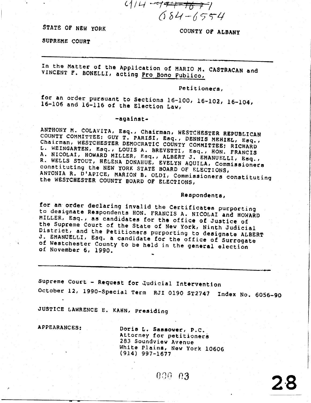$(1/4 - 77777677)$ 

STATE OF NEW YORK

COUNTY OF ALBANY

SUPREME COURT

In the Matter of the Application of MARIO M. CASTRACAN and VINCENT F. BONELLI, acting Pro Bono Publico,

Petitioners,

for an order pursuant to Sections 16-100, 16-102, 16-104, 16-106 and 16-116 of the Election Law,

-against-

ANTHONY M. COLAVITA, Esq., Chairman, WESTCHESTER REPUBLICAN COUNTY COMMITTEE: GUY T. PARISI, Esq., DENNIS MEHIEL, Esq., Chairman, WESTCHESTER DEMOCRATIC COUNTY COMMITTEE; RICHARD L. WEINGARTEN, Esq., LOUIS A. BREVETTI, Esq., HON. FRANCIS A. NICOLAI, HOWARD MILLER, Esq., ALBERT J. EMANUELLI, Esq., R. WELLS STOUT, HELENA DONAHUE, EVELYN AQUILA, Commissioners constituting the NEW YORK STATE BOARD OF ELECTIONS, ANTONIA R. D'APICE, MARION B. OLDI, Commissioners constituting the WESTCHESTER COUNTY BOARD OF ELECTIONS,

Respondents,

for an order declaring invalid the Certificates purporting to designate Respondents HON. FRANCIS A. NICOLAI and HOWARD MILLER, Esq., as candidates for the office of Justice of the Supreme Court of the State of New York, Ninth Judicial District, and the Petitioners purporting to designate ALBERT J. EMANUELLI, Esq. a candidate for the office of Surrogate of Westchester County to be held in the general election of November 6, 1990.

Supreme Court - Request for Judicial Intervention October 12, 1990-Special Term RJI 0190 ST2747 Index No. 6056-90

JUSTICE LAWRENCE E. KAHN, Presiding

APPEARANCES:

Doris L. Sassower, P.C. Attorney for petitioners 283 Soundview Avenue White Plains, New York 10606  $(914)$  997-1677

030 03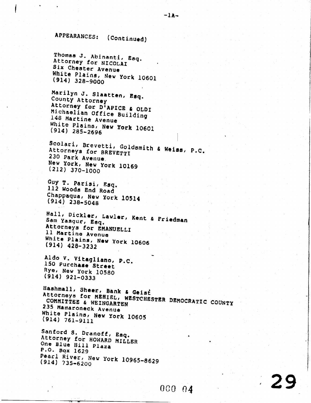## APPEARANCES: (Continued)

Thomas J. Abinanti, Esq. Attorney for NICOLAI Six Chester Avenue White Plains, New York 10601  $(914) 328 - 9000$ 

Marilyn J. Slaatten, Esq. County Attorney Attorney for D'APICE & OLDI Michaelian Office Building 148 Martine Avenue White Plains, New York 10601  $(914)$  285-2696

Scolari, Brevetti, Goldsmith & Weiss, P.C. Attorneys for BREVETTI 230 Park Avenue. New York, New York 10169  $(212)$  370-1000

Guy T. Parisi, Esq. 112 Woods End Road Chappaqua, New York 10514  $(914)$  238-5048

Hall, Dickler, Lawler, Kent & Friedman Sam Yasgur, Esq. Attorneys for EMANUELLI 11 Martine Avenue White Plains, New York 10606  $(914)$  428-3232

Aldo V. Vitagliano, P.C. 150 Purchase Street Rye, New York 10580  $(914) 921 - 0333$ 

Hashmall, Sheer, Bank & Geist Attorneys for MEHIEL, WESTCHESTER DEMOCRATIC COUNTY COMMITTEE & WEINGARTEN 235 Mamaroneck Avenue White Plains, New York 10605  $(914) 761 - 9111$ 

Sanford S. Dranoff, Esq. Attorney for HOWARD MILLER One Blue Hill Plaza P.O. Box 1629 Pearl River, New York 10965-8629  $(914) 735 - 6200$ 

000 04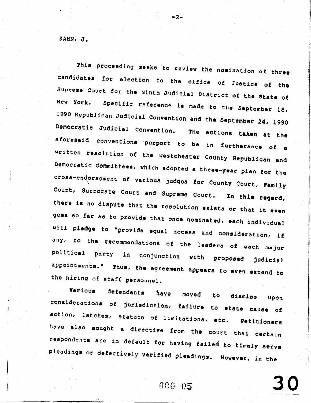## KAHN, J.

This proceeding seeks to review the nomination of three candidates for election to the office of Justice of the Supreme Court for the Ninth Judicial District of the State of Specific reference is made to the September 18, New York, 1990 Republican Judicial Convention and the September 24, 1990 Democratic Judicial Convention. The actions taken at the aforesaid conventions purport to be in furtherance of a written resolution of the Westchester County Republican and Democratic Committees, which adopted a three-year plan for the cross-endorsement of various judges for County Court, Family Court, Surrogate Court and Supreme Court. In this regard, there is no dispute that the resolution exists or that it even goes so far as to provide that once nominated, each individual will pledge to "provide equal access and consideration, if any, to the recommendations of the leaders of each major political party in conjunction with proposed judicial appointments." Thus, the agreement appears to even extend to the hiring of staff personnel.

-2-

Various defendants have moved to dismiss upon considerations of jurisdiction, failure to state cause of action, latches, statute of limitations, etc. Petitioners have also sought a directive from the court that certain respondents are in default for having failed to timely serve pleadings or defectively verified pleadings. However, in the

000 05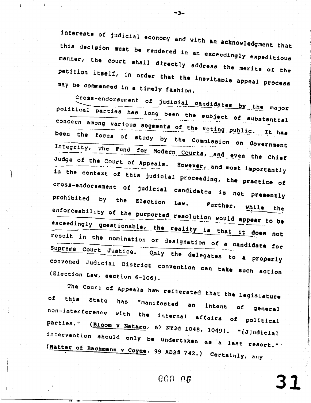interests of judicial economy and with an acknowledgment that this decision must be rendered in an exceedingly expeditious manner, the court shall directly address the merits of the petition itself, in order that the inevitable appeal process may be commenced in a timely fashion.

 $-3-$ 

Cross-endorsement of judicial candidates by the major political parties has long been the subject of substantial concern among various segments of the voting public. It has been the focus of study by the Commission on Government Integrity, The Fund for Modern Courts, and even the Chief Judge of the Court of Appeals. However, and most importantly in the context of this judicial proceeding, the practice of cross-endorsement of judicial candidates is not presently prohibited by the Election Law. Further, while enforceability of the purported resolution would appear to be exceedingly questionable, the reality is that it does not result in the nomination or designation of a candidate for Supreme Court Justice. Qnly the delegates to a properly convened Judicial District convention can take such action (Election Law, section 6-106).

The Court of Appeals has reiterated that the Legislature ٥f this State "manifested an has intent of non-interference with the internal affairs of political deneral parties." (Bloom v Nataro, 67 NY2d 1048, 1049). "[J]udicial intervention should only be undertaken as a last resort." (Matter of Bachmann v Coyne, 99 AD2d 742.) Certainly, any

 $000.06$